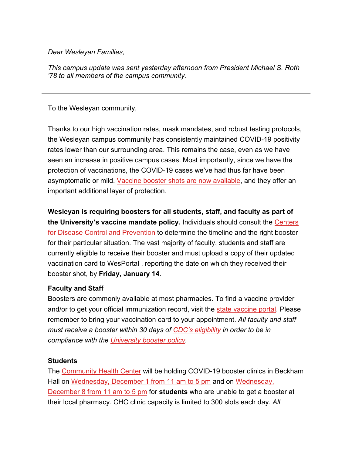*Dear Wesleyan Families,*

*This campus update was sent yesterday afternoon from President Michael S. Roth '78 to all members of the campus community.*

To the Wesleyan community,

Thanks to our high vaccination rates, mask mandates, and robust testing protocols, the Wesleyan campus community has consistently maintained COVID-19 positivity rates lower than our surrounding area. This remains the case, even as we have seen an increase in positive campus cases. Most importantly, since we have the protection of vaccinations, the COVID-19 cases we've had thus far have been asymptomatic or mild. [Vaccine booster shots are now available,](http://click.email.wesleyan.edu/?qs=d8d079fe159d709945895784bfc6cd6ca3e07ac9e36da148232a2168e396a0ce54556dd81fa8c501a204687915f782813160febb49d8d15e611232fe2c1a275e) and they offer an important additional layer of protection.

**Wesleyan is requiring boosters for all students, staff, and faculty as part of the University's vaccine mandate policy.** Individuals should consult the [Centers](http://click.email.wesleyan.edu/?qs=d8d079fe159d7099ee179804d45c20686796975a0aeb4911307d31640f2ce6602d0346cc8fd0400cc2a888e6327e14c630435d50333551b896362ee0073215b2)  [for Disease Control and Prevention](http://click.email.wesleyan.edu/?qs=d8d079fe159d7099ee179804d45c20686796975a0aeb4911307d31640f2ce6602d0346cc8fd0400cc2a888e6327e14c630435d50333551b896362ee0073215b2) to determine the timeline and the right booster for their particular situation. The vast majority of faculty, students and staff are currently eligible to receive their booster and must upload a copy of their updated vaccination card to WesPortal , reporting the date on which they received their booster shot, by **Friday, January 14**.

## **Faculty and Staff**

Boosters are commonly available at most pharmacies. To find a vaccine provider and/or to get your official immunization record, visit the [state vaccine portal.](http://click.email.wesleyan.edu/?qs=d8d079fe159d7099f64deed0490228ed236ed99e13433a9420ee2c3f9dd68f6c725dffe276953db2be35d6f772533390692c562538d8d405a5f24f19be652d00) Please remember to bring your vaccination card to your appointment. *All faculty and staff must receive a booster within 30 days of [CDC's eligibility](http://click.email.wesleyan.edu/?qs=72d4bbc9526e2c60a6bd385fffc0441466e641e7cc10ec28037b2845236bdb49f6e7f5bbcb3ac1bf196402bceeb7b8ed97aab79dff85c863191607c36967b086) in order to be in compliance with the [University booster policy.](http://click.email.wesleyan.edu/?qs=72d4bbc9526e2c600e94d61a944054520f0d55b48a4f4c81fdde0e48fed854dac92749bf9e3bf92fc2278efa7cf08b9bf70343efabba6341b1c6b25c5fed8a3b)*

## **Students**

The [Community Health Center](http://click.email.wesleyan.edu/?qs=72d4bbc9526e2c60cd2a43a0d6d6c903da515986eac6fc0b5a36b591817d820a46dd033dcbee3471c4e6148bbb450c8619a9524851875a3a0717e87a451c173f) will be holding COVID-19 booster clinics in Beckham Hall on [Wednesday, December 1 from 11 am to 5 pm](http://click.email.wesleyan.edu/?qs=72d4bbc9526e2c6058aaab9856a31c071302fb443424fe36d4bc19b73bdb776b34d0eb82c7c2de9a78a0d28d59ffe912efe840af04f75bce00a53618719b7ce2) and on Wednesday, [December 8 from 11 am to 5 pm](http://click.email.wesleyan.edu/?qs=72d4bbc9526e2c6035d0030eb8244464a6679503c849fb88495b53ffd2b9c1efc8be9125364fef7600740d9a1ccb415dc3486a9abfdb0a4cf713702df982ce10) for **students** who are unable to get a booster at their local pharmacy. CHC clinic capacity is limited to 300 slots each day. *All*